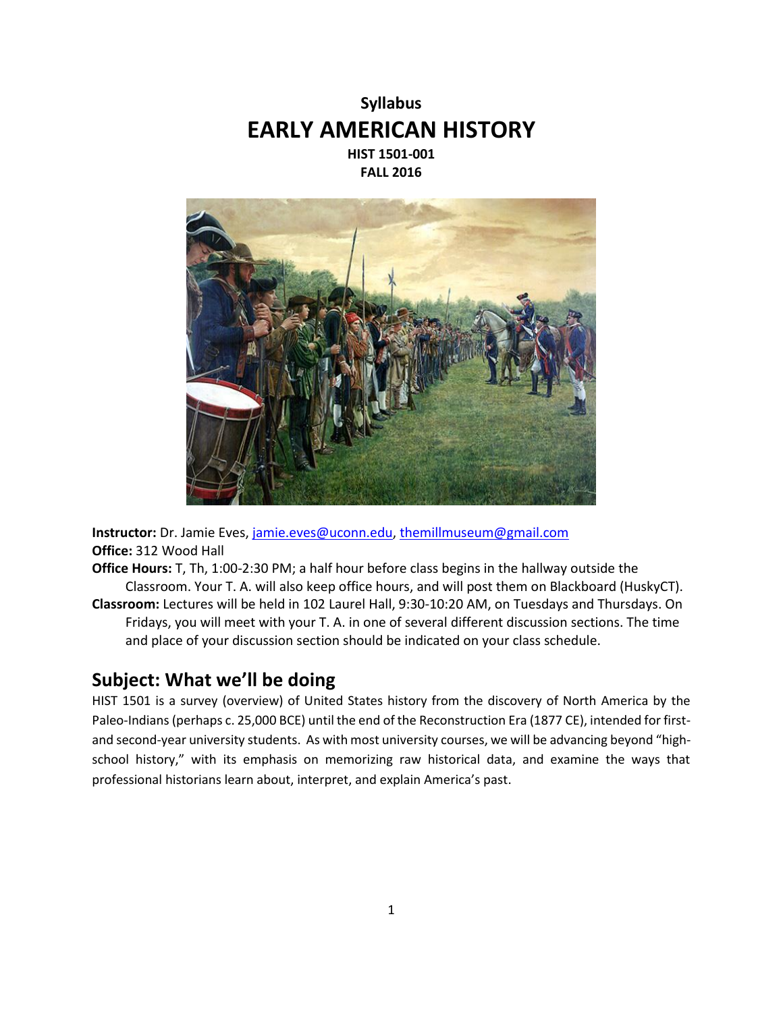



**Instructor:** Dr. Jamie Eves, [jamie.eves@uconn.edu,](mailto:jamie.eves@uconn.edu) [themillmuseum@gmail.com](mailto:themillmuseum@gmail.com) **Office:** 312 Wood Hall

- **Office Hours:** T, Th, 1:00-2:30 PM; a half hour before class begins in the hallway outside the Classroom. Your T. A. will also keep office hours, and will post them on Blackboard (HuskyCT).
- **Classroom:** Lectures will be held in 102 Laurel Hall, 9:30-10:20 AM, on Tuesdays and Thursdays. On Fridays, you will meet with your T. A. in one of several different discussion sections. The time and place of your discussion section should be indicated on your class schedule.

# **Subject: What we'll be doing**

HIST 1501 is a survey (overview) of United States history from the discovery of North America by the Paleo-Indians (perhaps c. 25,000 BCE) until the end of the Reconstruction Era (1877 CE), intended for firstand second-year university students. As with most university courses, we will be advancing beyond "highschool history," with its emphasis on memorizing raw historical data, and examine the ways that professional historians learn about, interpret, and explain America's past.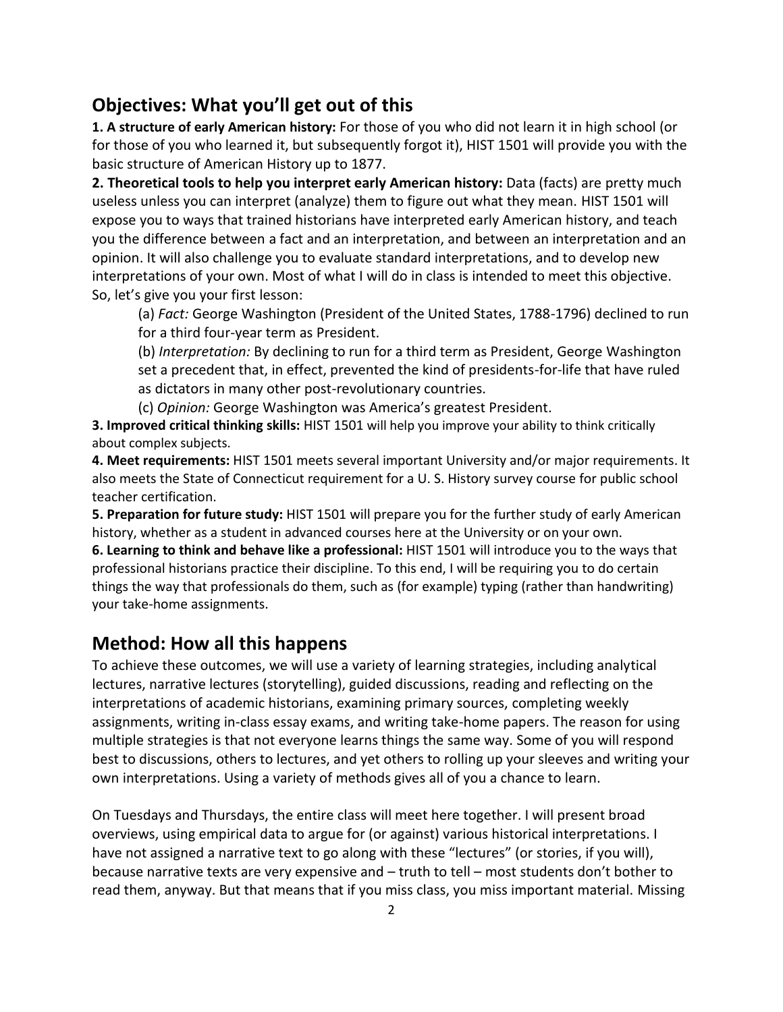# **Objectives: What you'll get out of this**

**1. A structure of early American history:** For those of you who did not learn it in high school (or for those of you who learned it, but subsequently forgot it), HIST 1501 will provide you with the basic structure of American History up to 1877.

**2. Theoretical tools to help you interpret early American history:** Data (facts) are pretty much useless unless you can interpret (analyze) them to figure out what they mean. HIST 1501 will expose you to ways that trained historians have interpreted early American history, and teach you the difference between a fact and an interpretation, and between an interpretation and an opinion. It will also challenge you to evaluate standard interpretations, and to develop new interpretations of your own. Most of what I will do in class is intended to meet this objective. So, let's give you your first lesson:

(a) *Fact:* George Washington (President of the United States, 1788-1796) declined to run for a third four-year term as President.

(b) *Interpretation:* By declining to run for a third term as President, George Washington set a precedent that, in effect, prevented the kind of presidents-for-life that have ruled as dictators in many other post-revolutionary countries.

(c) *Opinion:* George Washington was America's greatest President.

**3. Improved critical thinking skills:** HIST 1501 will help you improve your ability to think critically about complex subjects.

**4. Meet requirements:** HIST 1501 meets several important University and/or major requirements. It also meets the State of Connecticut requirement for a U. S. History survey course for public school teacher certification.

**5. Preparation for future study:** HIST 1501 will prepare you for the further study of early American history, whether as a student in advanced courses here at the University or on your own. **6. Learning to think and behave like a professional:** HIST 1501 will introduce you to the ways that

professional historians practice their discipline. To this end, I will be requiring you to do certain things the way that professionals do them, such as (for example) typing (rather than handwriting) your take-home assignments.

# **Method: How all this happens**

To achieve these outcomes, we will use a variety of learning strategies, including analytical lectures, narrative lectures (storytelling), guided discussions, reading and reflecting on the interpretations of academic historians, examining primary sources, completing weekly assignments, writing in-class essay exams, and writing take-home papers. The reason for using multiple strategies is that not everyone learns things the same way. Some of you will respond best to discussions, others to lectures, and yet others to rolling up your sleeves and writing your own interpretations. Using a variety of methods gives all of you a chance to learn.

On Tuesdays and Thursdays, the entire class will meet here together. I will present broad overviews, using empirical data to argue for (or against) various historical interpretations. I have not assigned a narrative text to go along with these "lectures" (or stories, if you will), because narrative texts are very expensive and – truth to tell – most students don't bother to read them, anyway. But that means that if you miss class, you miss important material. Missing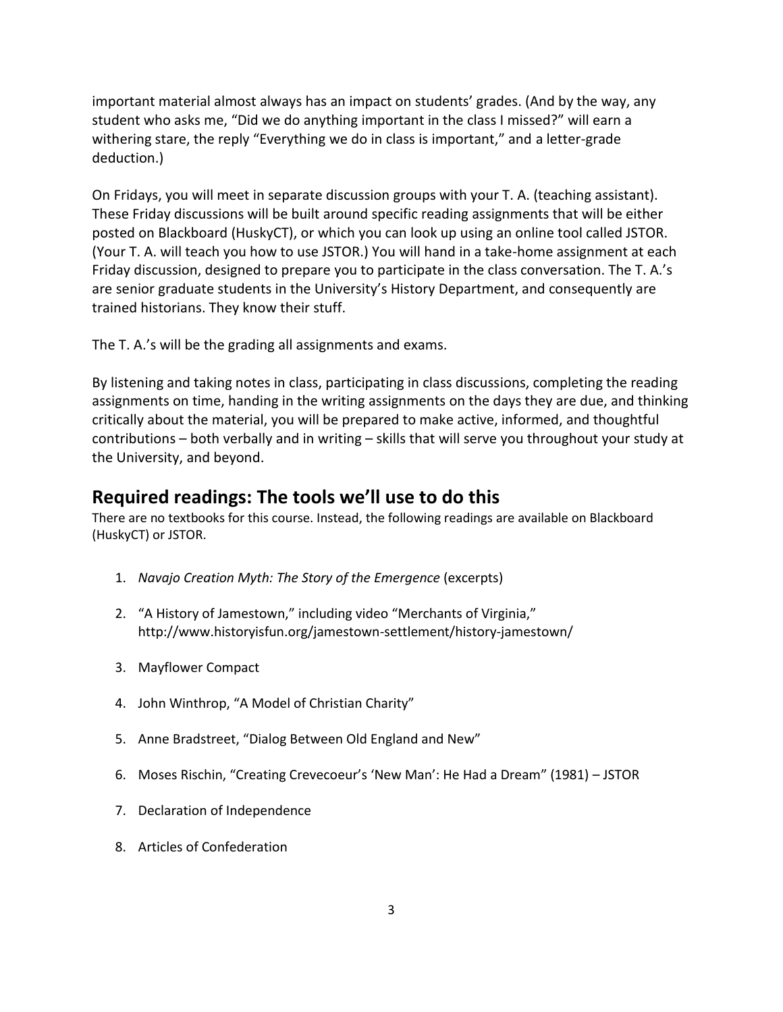important material almost always has an impact on students' grades. (And by the way, any student who asks me, "Did we do anything important in the class I missed?" will earn a withering stare, the reply "Everything we do in class is important," and a letter-grade deduction.)

On Fridays, you will meet in separate discussion groups with your T. A. (teaching assistant). These Friday discussions will be built around specific reading assignments that will be either posted on Blackboard (HuskyCT), or which you can look up using an online tool called JSTOR. (Your T. A. will teach you how to use JSTOR.) You will hand in a take-home assignment at each Friday discussion, designed to prepare you to participate in the class conversation. The T. A.'s are senior graduate students in the University's History Department, and consequently are trained historians. They know their stuff.

The T. A.'s will be the grading all assignments and exams.

By listening and taking notes in class, participating in class discussions, completing the reading assignments on time, handing in the writing assignments on the days they are due, and thinking critically about the material, you will be prepared to make active, informed, and thoughtful contributions – both verbally and in writing – skills that will serve you throughout your study at the University, and beyond.

# **Required readings: The tools we'll use to do this**

There are no textbooks for this course. Instead, the following readings are available on Blackboard (HuskyCT) or JSTOR.

- 1. *Navajo Creation Myth: The Story of the Emergence* (excerpts)
- 2. "A History of Jamestown," including video "Merchants of Virginia," http://www.historyisfun.org/jamestown-settlement/history-jamestown/
- 3. Mayflower Compact
- 4. John Winthrop, "A Model of Christian Charity"
- 5. Anne Bradstreet, "Dialog Between Old England and New"
- 6. Moses Rischin, "Creating Crevecoeur's 'New Man': He Had a Dream" (1981) JSTOR
- 7. Declaration of Independence
- 8. Articles of Confederation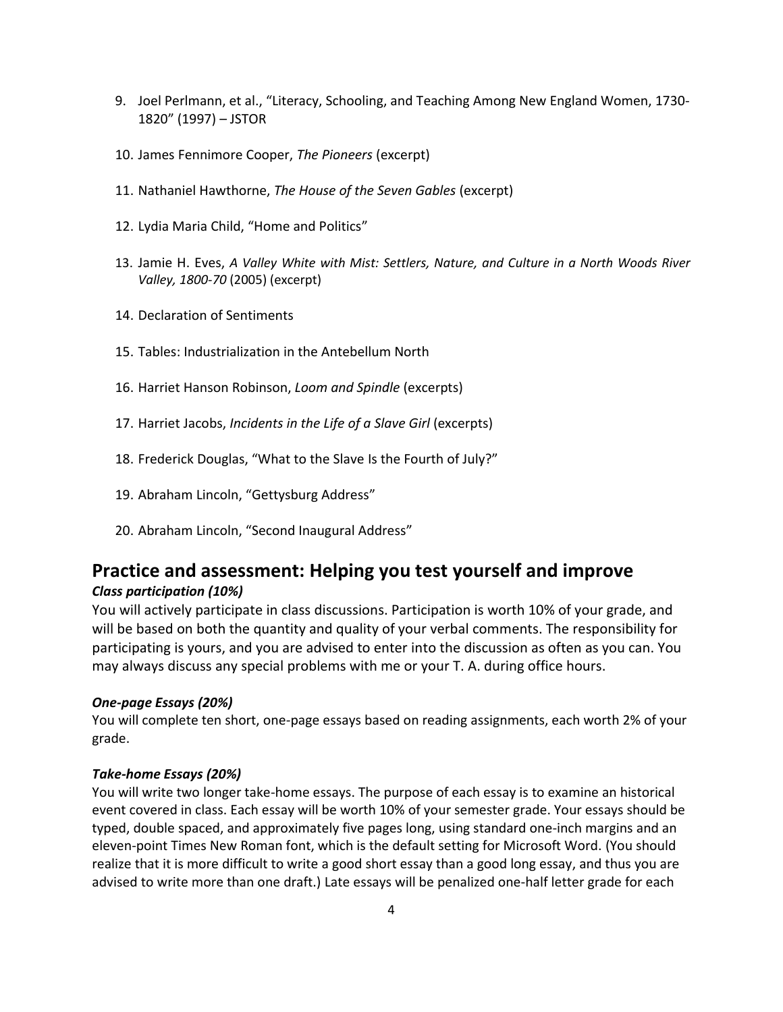- 9. Joel Perlmann, et al., "Literacy, Schooling, and Teaching Among New England Women, 1730- 1820" (1997) – JSTOR
- 10. James Fennimore Cooper, *The Pioneers* (excerpt)
- 11. Nathaniel Hawthorne, *The House of the Seven Gables* (excerpt)
- 12. Lydia Maria Child, "Home and Politics"
- 13. Jamie H. Eves, *A Valley White with Mist: Settlers, Nature, and Culture in a North Woods River Valley, 1800-70* (2005) (excerpt)
- 14. Declaration of Sentiments
- 15. Tables: Industrialization in the Antebellum North
- 16. Harriet Hanson Robinson, *Loom and Spindle* (excerpts)
- 17. Harriet Jacobs, *Incidents in the Life of a Slave Girl* (excerpts)
- 18. Frederick Douglas, "What to the Slave Is the Fourth of July?"
- 19. Abraham Lincoln, "Gettysburg Address"
- 20. Abraham Lincoln, "Second Inaugural Address"

# **Practice and assessment: Helping you test yourself and improve**

## *Class participation (10%)*

You will actively participate in class discussions. Participation is worth 10% of your grade, and will be based on both the quantity and quality of your verbal comments. The responsibility for participating is yours, and you are advised to enter into the discussion as often as you can. You may always discuss any special problems with me or your T. A. during office hours.

### *One-page Essays (20%)*

You will complete ten short, one-page essays based on reading assignments, each worth 2% of your grade.

### *Take-home Essays (20%)*

You will write two longer take-home essays. The purpose of each essay is to examine an historical event covered in class. Each essay will be worth 10% of your semester grade. Your essays should be typed, double spaced, and approximately five pages long, using standard one-inch margins and an eleven-point Times New Roman font, which is the default setting for Microsoft Word. (You should realize that it is more difficult to write a good short essay than a good long essay, and thus you are advised to write more than one draft.) Late essays will be penalized one-half letter grade for each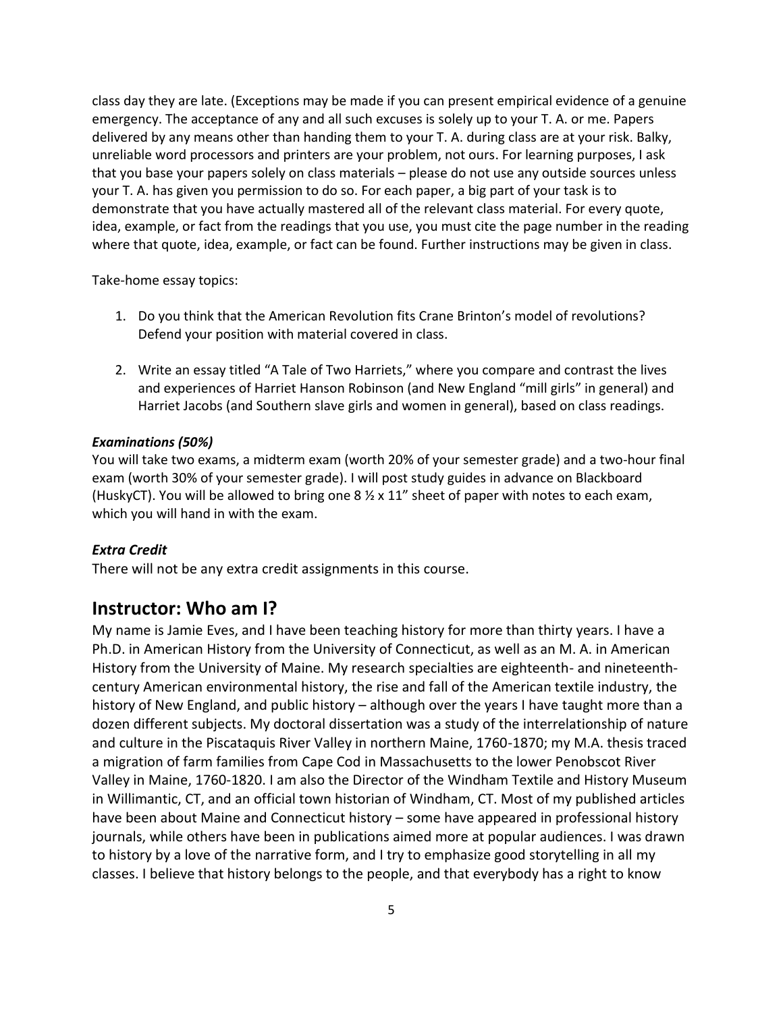class day they are late. (Exceptions may be made if you can present empirical evidence of a genuine emergency. The acceptance of any and all such excuses is solely up to your T. A. or me. Papers delivered by any means other than handing them to your T. A. during class are at your risk. Balky, unreliable word processors and printers are your problem, not ours. For learning purposes, I ask that you base your papers solely on class materials – please do not use any outside sources unless your T. A. has given you permission to do so. For each paper, a big part of your task is to demonstrate that you have actually mastered all of the relevant class material. For every quote, idea, example, or fact from the readings that you use, you must cite the page number in the reading where that quote, idea, example, or fact can be found. Further instructions may be given in class.

Take-home essay topics:

- 1. Do you think that the American Revolution fits Crane Brinton's model of revolutions? Defend your position with material covered in class.
- 2. Write an essay titled "A Tale of Two Harriets," where you compare and contrast the lives and experiences of Harriet Hanson Robinson (and New England "mill girls" in general) and Harriet Jacobs (and Southern slave girls and women in general), based on class readings.

## *Examinations (50%)*

You will take two exams, a midterm exam (worth 20% of your semester grade) and a two-hour final exam (worth 30% of your semester grade). I will post study guides in advance on Blackboard (HuskyCT). You will be allowed to bring one 8  $\frac{1}{2}$  x 11" sheet of paper with notes to each exam, which you will hand in with the exam.

### *Extra Credit*

There will not be any extra credit assignments in this course.

## **Instructor: Who am I?**

My name is Jamie Eves, and I have been teaching history for more than thirty years. I have a Ph.D. in American History from the University of Connecticut, as well as an M. A. in American History from the University of Maine. My research specialties are eighteenth- and nineteenthcentury American environmental history, the rise and fall of the American textile industry, the history of New England, and public history – although over the years I have taught more than a dozen different subjects. My doctoral dissertation was a study of the interrelationship of nature and culture in the Piscataquis River Valley in northern Maine, 1760-1870; my M.A. thesis traced a migration of farm families from Cape Cod in Massachusetts to the lower Penobscot River Valley in Maine, 1760-1820. I am also the Director of the Windham Textile and History Museum in Willimantic, CT, and an official town historian of Windham, CT. Most of my published articles have been about Maine and Connecticut history – some have appeared in professional history journals, while others have been in publications aimed more at popular audiences. I was drawn to history by a love of the narrative form, and I try to emphasize good storytelling in all my classes. I believe that history belongs to the people, and that everybody has a right to know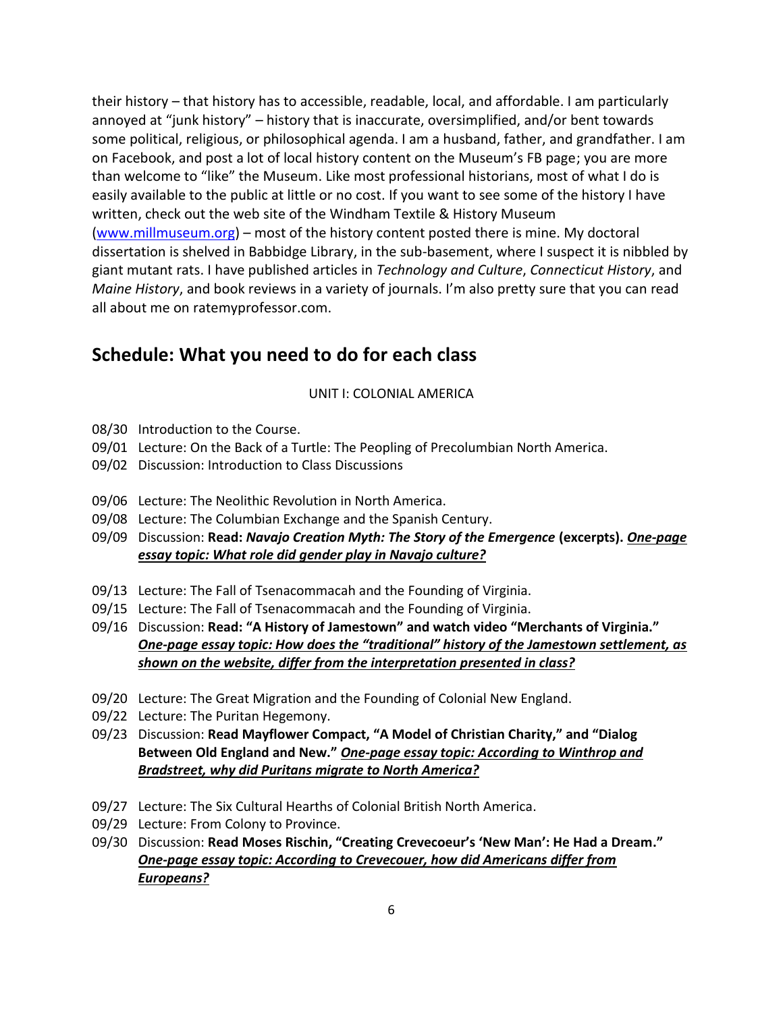their history – that history has to accessible, readable, local, and affordable. I am particularly annoyed at "junk history" – history that is inaccurate, oversimplified, and/or bent towards some political, religious, or philosophical agenda. I am a husband, father, and grandfather. I am on Facebook, and post a lot of local history content on the Museum's FB page; you are more than welcome to "like" the Museum. Like most professional historians, most of what I do is easily available to the public at little or no cost. If you want to see some of the history I have written, check out the web site of the Windham Textile & History Museum [\(www.millmuseum.org\)](http://www.millmuseum.org/) – most of the history content posted there is mine. My doctoral dissertation is shelved in Babbidge Library, in the sub-basement, where I suspect it is nibbled by giant mutant rats. I have published articles in *Technology and Culture*, *Connecticut History*, and *Maine History*, and book reviews in a variety of journals. I'm also pretty sure that you can read all about me on ratemyprofessor.com.

# **Schedule: What you need to do for each class**

## UNIT I: COLONIAL AMERICA

- 08/30 Introduction to the Course.
- 09/01 Lecture: On the Back of a Turtle: The Peopling of Precolumbian North America.
- 09/02 Discussion: Introduction to Class Discussions
- 09/06 Lecture: The Neolithic Revolution in North America.
- 09/08 Lecture: The Columbian Exchange and the Spanish Century.
- 09/09 Discussion: **Read:** *Navajo Creation Myth: The Story of the Emergence* **(excerpts).** *One-page essay topic: What role did gender play in Navajo culture?*
- 09/13 Lecture: The Fall of Tsenacommacah and the Founding of Virginia.
- 09/15 Lecture: The Fall of Tsenacommacah and the Founding of Virginia.
- 09/16 Discussion: **Read: "A History of Jamestown" and watch video "Merchants of Virginia."** *One-page essay topic: How does the "traditional" history of the Jamestown settlement, as shown on the website, differ from the interpretation presented in class?*
- 09/20 Lecture: The Great Migration and the Founding of Colonial New England.
- 09/22 Lecture: The Puritan Hegemony.
- 09/23 Discussion: **Read Mayflower Compact, "A Model of Christian Charity," and "Dialog Between Old England and New."** *One-page essay topic: According to Winthrop and Bradstreet, why did Puritans migrate to North America?*
- 09/27 Lecture: The Six Cultural Hearths of Colonial British North America.
- 09/29 Lecture: From Colony to Province.
- 09/30 Discussion: **Read Moses Rischin, "Creating Crevecoeur's 'New Man': He Had a Dream."** *One-page essay topic: According to Crevecouer, how did Americans differ from Europeans?*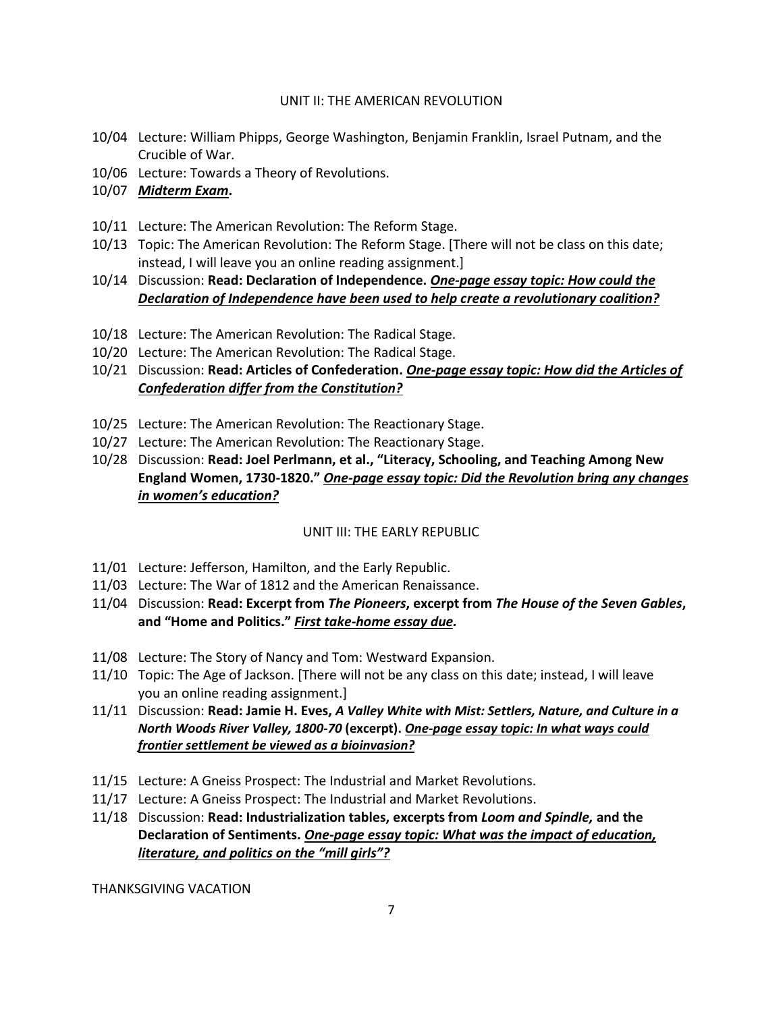## UNIT II: THE AMERICAN REVOLUTION

- 10/04 Lecture: William Phipps, George Washington, Benjamin Franklin, Israel Putnam, and the Crucible of War.
- 10/06 Lecture: Towards a Theory of Revolutions.
- 10/07 *Midterm Exam***.**
- 10/11 Lecture: The American Revolution: The Reform Stage.
- 10/13 Topic: The American Revolution: The Reform Stage. [There will not be class on this date; instead, I will leave you an online reading assignment.]
- 10/14 Discussion: **Read: Declaration of Independence.** *One-page essay topic: How could the Declaration of Independence have been used to help create a revolutionary coalition?*
- 10/18 Lecture: The American Revolution: The Radical Stage.
- 10/20 Lecture: The American Revolution: The Radical Stage.
- 10/21 Discussion: **Read: Articles of Confederation.** *One-page essay topic: How did the Articles of Confederation differ from the Constitution?*
- 10/25 Lecture: The American Revolution: The Reactionary Stage.
- 10/27 Lecture: The American Revolution: The Reactionary Stage.
- 10/28 Discussion: **Read: Joel Perlmann, et al., "Literacy, Schooling, and Teaching Among New England Women, 1730-1820."** *One-page essay topic: Did the Revolution bring any changes in women's education?*

## UNIT III: THE EARLY REPUBLIC

- 11/01 Lecture: Jefferson, Hamilton, and the Early Republic.
- 11/03 Lecture: The War of 1812 and the American Renaissance.
- 11/04 Discussion: **Read: Excerpt from** *The Pioneers***, excerpt from** *The House of the Seven Gables***, and "Home and Politics."** *First take-home essay due.*
- 11/08 Lecture: The Story of Nancy and Tom: Westward Expansion.
- 11/10 Topic: The Age of Jackson. [There will not be any class on this date; instead, I will leave you an online reading assignment.]
- 11/11 Discussion: **Read: Jamie H. Eves,** *A Valley White with Mist: Settlers, Nature, and Culture in a North Woods River Valley, 1800-70* **(excerpt).** *One-page essay topic: In what ways could frontier settlement be viewed as a bioinvasion?*
- 11/15 Lecture: A Gneiss Prospect: The Industrial and Market Revolutions.
- 11/17 Lecture: A Gneiss Prospect: The Industrial and Market Revolutions.
- 11/18 Discussion: **Read: Industrialization tables, excerpts from** *Loom and Spindle,* **and the Declaration of Sentiments.** *One-page essay topic: What was the impact of education, literature, and politics on the "mill girls"?*

THANKSGIVING VACATION